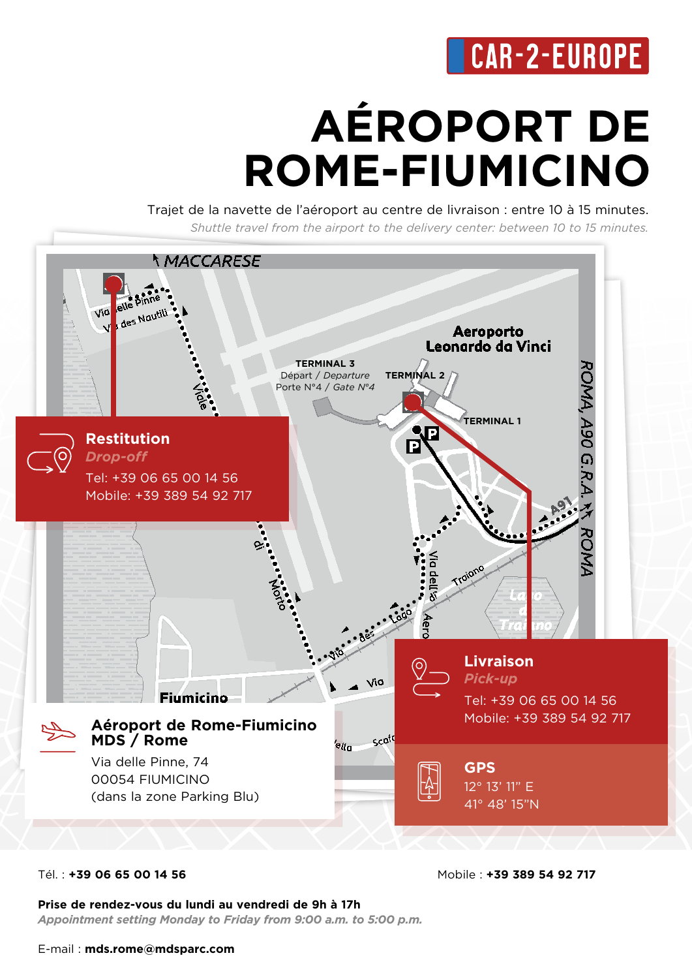## **CAR-2-EUROPE**

# **AÉROPORT DE ROME-FIUMICINO**

Trajet de la navette de l'aéroport au centre de livraison : entre 10 à 15 minutes. *Shuttle travel from the airport to the delivery center: between 10 to 15 minutes.*



#### Tél. : **+39 06 65 00 14 56**

Mobile : **+39 389 54 92 717** 

**Prise de rendez-vous du lundi au vendredi de 9h à 17h** *Appointment setting Monday to Friday from 9:00 a.m. to 5:00 p.m.*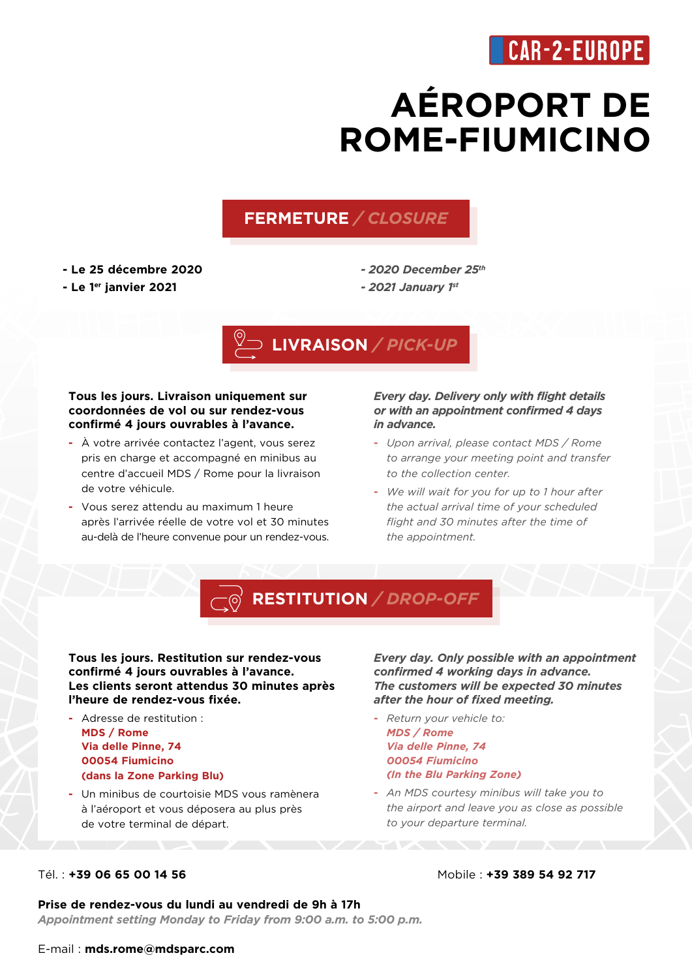### **CAR-2-EUROPE**

## **AÉROPORT DE ROME-FIUMICINO**

#### **FERMETURE** */ CLOSURE*

- **Le 25 décembre 2020**
- **Le 1er janvier 2021**

*- 2020 December 25th*

#### *- 2021 January 1st*



#### **Tous les jours. Livraison uniquement sur coordonnées de vol ou sur rendez-vous confirmé 4 jours ouvrables à l'avance.**

- **-** À votre arrivée contactez l'agent, vous serez pris en charge et accompagné en minibus au centre d'accueil MDS / Rome pour la livraison de votre véhicule.
- **-** Vous serez attendu au maximum 1 heure après l'arrivée réelle de votre vol et 30 minutes au-delà de l'heure convenue pour un rendez-vous.

#### *Every day. Delivery only with flight details or with an appointment confirmed 4 days in advance.*

- **-** *Upon arrival, please contact MDS / Rome to arrange your meeting point and transfer to the collection center.*
- **-** *We will wait for you for up to 1 hour after the actual arrival time of your scheduled flight and 30 minutes after the time of the appointment.*



#### **Tous les jours. Restitution sur rendez-vous confirmé 4 jours ouvrables à l'avance. Les clients seront attendus 30 minutes après l'heure de rendez-vous fixée.**

- **-** Adresse de restitution : **MDS / Rome Via delle Pinne, 74 00054 Fiumicino (dans la Zone Parking Blu)**
- **-** Un minibus de courtoisie MDS vous ramènera à l'aéroport et vous déposera au plus près de votre terminal de départ.

*Every day. Only possible with an appointment confirmed 4 working days in advance. The customers will be expected 30 minutes after the hour of fixed meeting.*

- **-** *Return your vehicle to: MDS / Rome Via delle Pinne, 74 00054 Fiumicino (In the Blu Parking Zone)*
- **-** *An MDS courtesy minibus will take you to the airport and leave you as close as possible to your departure terminal.*

#### Tél. : **+39 06 65 00 14 56**

#### Mobile : **+39 389 54 92 717**

**Prise de rendez-vous du lundi au vendredi de 9h à 17h**

*Appointment setting Monday to Friday from 9:00 a.m. to 5:00 p.m.*